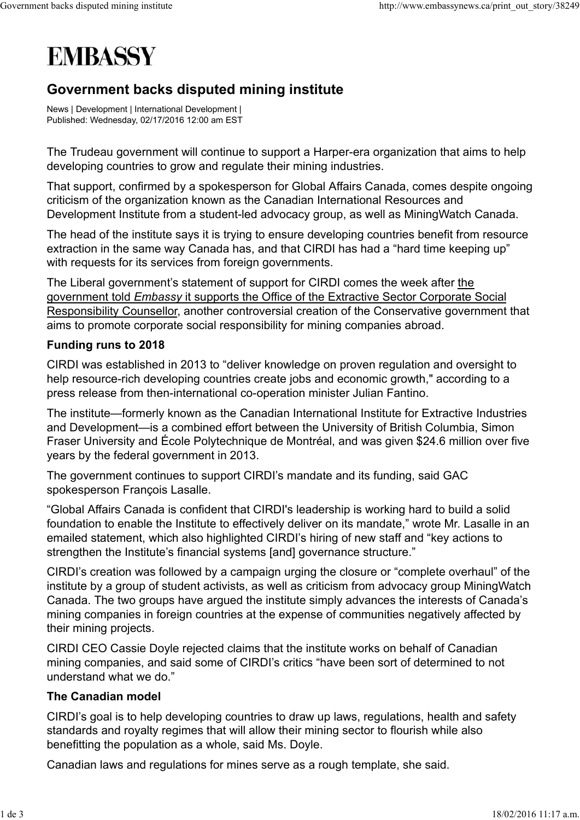## **EMBASSY**

## Government backs disputed mining institute

News | Development | International Development | Published: Wednesday, 02/17/2016 12:00 am EST

The Trudeau government will continue to support a Harper-era organization that aims to help developing countries to grow and regulate their mining industries.

That support, confirmed by a spokesperson for Global Affairs Canada, comes despite ongoing criticism of the organization known as the Canadian International Resources and Development Institute from a student-led advocacy group, as well as MiningWatch Canada.

The head of the institute says it is trying to ensure developing countries benefit from resource extraction in the same way Canada has, and that CIRDI has had a "hard time keeping up" with requests for its services from foreign governments.

The Liberal government's statement of support for CIRDI comes the week after the government told *Embassy* it supports the Office of the Extractive Sector Corporate Social Responsibility Counsellor, another controversial creation of the Conservative government that aims to promote corporate social responsibility for mining companies abroad.

## Funding runs to 2018

CIRDI was established in 2013 to "deliver knowledge on proven regulation and oversight to help resource-rich developing countries create jobs and economic growth," according to a press release from then-international co-operation minister Julian Fantino.

The institute—formerly known as the Canadian International Institute for Extractive Industries and Development—is a combined effort between the University of British Columbia, Simon Fraser University and École Polytechnique de Montréal, and was given \$24.6 million over five years by the federal government in 2013.

The government continues to support CIRDI's mandate and its funding, said GAC spokesperson François Lasalle.

"Global Affairs Canada is confident that CIRDI's leadership is working hard to build a solid foundation to enable the Institute to effectively deliver on its mandate," wrote Mr. Lasalle in an emailed statement, which also highlighted CIRDI's hiring of new staff and "key actions to strengthen the Institute's financial systems [and] governance structure."

CIRDI's creation was followed by a campaign urging the closure or "complete overhaul" of the institute by a group of student activists, as well as criticism from advocacy group MiningWatch Canada. The two groups have argued the institute simply advances the interests of Canada's mining companies in foreign countries at the expense of communities negatively affected by their mining projects.

CIRDI CEO Cassie Doyle rejected claims that the institute works on behalf of Canadian mining companies, and said some of CIRDI's critics "have been sort of determined to not understand what we do."

## The Canadian model

CIRDI's goal is to help developing countries to draw up laws, regulations, health and safety standards and royalty regimes that will allow their mining sector to flourish while also benefitting the population as a whole, said Ms. Doyle.

Canadian laws and regulations for mines serve as a rough template, she said.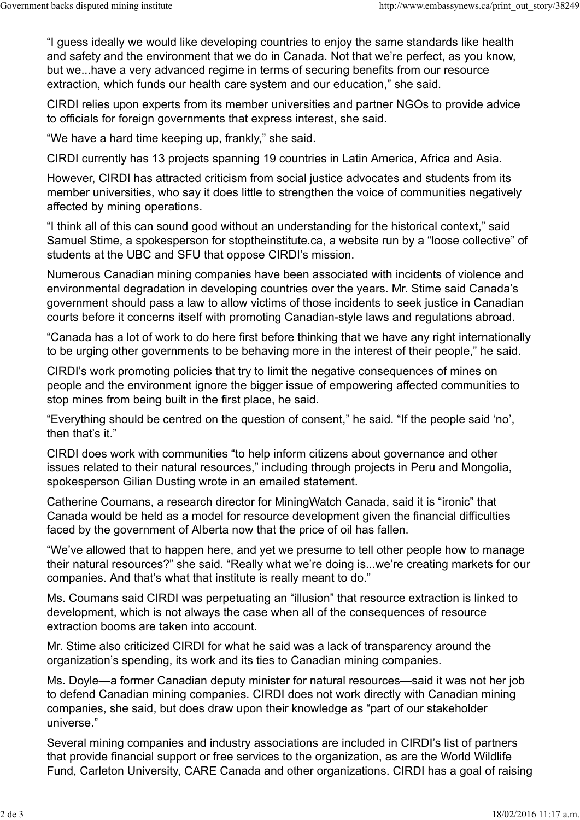"I guess ideally we would like developing countries to enjoy the same standards like health and safety and the environment that we do in Canada. Not that we're perfect, as you know, but we...have a very advanced regime in terms of securing benefits from our resource extraction, which funds our health care system and our education," she said.

CIRDI relies upon experts from its member universities and partner NGOs to provide advice to officials for foreign governments that express interest, she said.

"We have a hard time keeping up, frankly," she said.

CIRDI currently has 13 projects spanning 19 countries in Latin America, Africa and Asia.

However, CIRDI has attracted criticism from social justice advocates and students from its member universities, who say it does little to strengthen the voice of communities negatively affected by mining operations.

"I think all of this can sound good without an understanding for the historical context," said Samuel Stime, a spokesperson for stoptheinstitute.ca, a website run by a "loose collective" of students at the UBC and SFU that oppose CIRDI's mission.

Numerous Canadian mining companies have been associated with incidents of violence and environmental degradation in developing countries over the years. Mr. Stime said Canada's government should pass a law to allow victims of those incidents to seek justice in Canadian courts before it concerns itself with promoting Canadian-style laws and regulations abroad.

"Canada has a lot of work to do here first before thinking that we have any right internationally to be urging other governments to be behaving more in the interest of their people," he said.

CIRDI's work promoting policies that try to limit the negative consequences of mines on people and the environment ignore the bigger issue of empowering affected communities to stop mines from being built in the first place, he said.

"Everything should be centred on the question of consent," he said. "If the people said 'no', then that's it."

CIRDI does work with communities "to help inform citizens about governance and other issues related to their natural resources," including through projects in Peru and Mongolia, spokesperson Gilian Dusting wrote in an emailed statement.

Catherine Coumans, a research director for MiningWatch Canada, said it is "ironic" that Canada would be held as a model for resource development given the financial difficulties faced by the government of Alberta now that the price of oil has fallen.

"We've allowed that to happen here, and yet we presume to tell other people how to manage their natural resources?" she said. "Really what we're doing is...we're creating markets for our companies. And that's what that institute is really meant to do."

Ms. Coumans said CIRDI was perpetuating an "illusion" that resource extraction is linked to development, which is not always the case when all of the consequences of resource extraction booms are taken into account.

Mr. Stime also criticized CIRDI for what he said was a lack of transparency around the organization's spending, its work and its ties to Canadian mining companies.

Ms. Doyle—a former Canadian deputy minister for natural resources—said it was not her job to defend Canadian mining companies. CIRDI does not work directly with Canadian mining companies, she said, but does draw upon their knowledge as "part of our stakeholder universe."

Several mining companies and industry associations are included in CIRDI's list of partners that provide financial support or free services to the organization, as are the World Wildlife Fund, Carleton University, CARE Canada and other organizations. CIRDI has a goal of raising